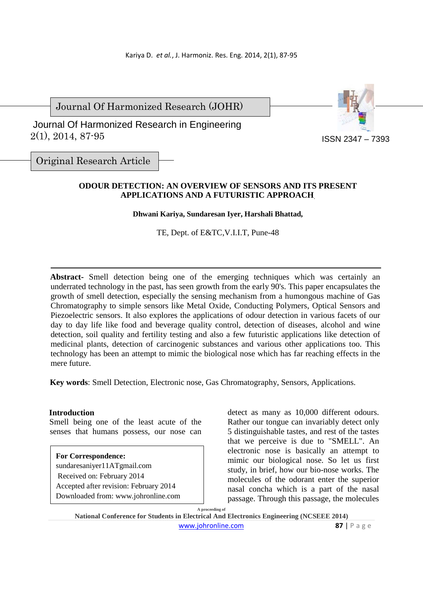Journal Of Harmonized Research (JOHR)

 2(1), 2014, 87-95 Journal Of Harmonized Research in Engineering



Original Research Article

## **ODOUR DETECTION: AN OVERVIEW OF SENSORS AND ITS PRESENT APPLICATIONS AND A FUTURISTIC APPROACH**.

#### **Dhwani Kariya, Sundaresan Iyer, Harshali Bhattad,**

TE, Dept. of E&TC,V.I.I.T, Pune-48

**Abstract-** Smell detection being one of the emerging techniques which was certainly an underrated technology in the past, has seen growth from the early 90's. This paper encapsulates the growth of smell detection, especially the sensing mechanism from a humongous machine of Gas Chromatography to simple sensors like Metal Oxide, Conducting Polymers, Optical Sensors and Piezoelectric sensors. It also explores the applications of odour detection in various facets of our day to day life like food and beverage quality control, detection of diseases, alcohol and wine detection, soil quality and fertility testing and also a few futuristic applications like detection of medicinal plants, detection of carcinogenic substances and various other applications too. This technology has been an attempt to mimic the biological nose which has far reaching effects in the mere future.

**Key words**: Smell Detection, Electronic nose, Gas Chromatography, Sensors, Applications.

#### **Introduction**

Smell being one of the least acute of the senses that humans possess, our nose can

## **For Correspondence:**

sundaresaniyer11ATgmail.com Received on: February 2014 Accepted after revision: February 2014 Downloaded from: www.johronline.com detect as many as 10,000 different odours. Rather our tongue can invariably detect only 5 distinguishable tastes, and rest of the tastes that we perceive is due to "SMELL". An electronic nose is basically an attempt to mimic our biological nose. So let us first study, in brief, how our bio-nose works. The molecules of the odorant enter the superior nasal concha which is a part of the nasal passage. Through this passage, the molecules

**A proceeding of** 

**National Conference for Students in Electrical And Electronics Engineering (NCSEEE 2014)**  www.johronline.com **87** | P a g e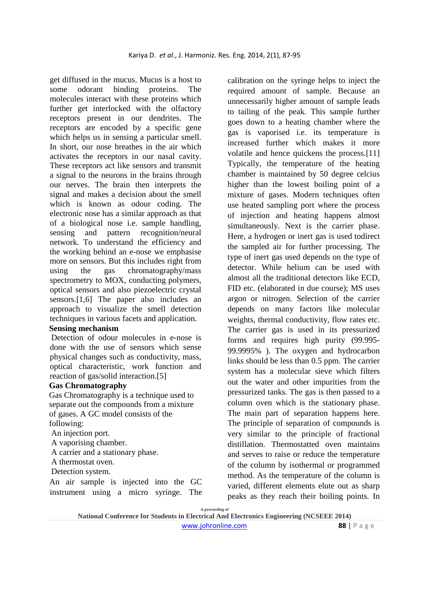get diffused in the mucus. Mucus is a host to some odorant binding proteins. The molecules interact with these proteins which further get interlocked with the olfactory receptors present in our dendrites. The receptors are encoded by a specific gene which helps us in sensing a particular smell. In short, our nose breathes in the air which activates the receptors in our nasal cavity. These receptors act like sensors and transmit a signal to the neurons in the brains through our nerves. The brain then interprets the signal and makes a decision about the smell which is known as odour coding. The electronic nose has a similar approach as that of a biological nose i.e. sample handling, sensing and pattern recognition/neural network. To understand the efficiency and the working behind an e-nose we emphasise more on sensors. But this includes right from using the gas chromatography/mass spectrometry to MOX, conducting polymers, optical sensors and also piezoelectric crystal sensors.[1,6] The paper also includes an approach to visualize the smell detection techniques in various facets and application.

## **Sensing mechanism**

Detection of odour molecules in e-nose is done with the use of sensors which sense physical changes such as conductivity, mass, optical characteristic, work function and reaction of gas/solid interaction.[5]

## **Gas Chromatography**

Gas Chromatography is a technique used to separate out the compounds from a mixture of gases. A GC model consists of the following:

An injection port.

A vaporising chamber.

A carrier and a stationary phase.

A thermostat oven.

Detection system.

An air sample is injected into the GC instrument using a micro syringe. The calibration on the syringe helps to inject the required amount of sample. Because an unnecessarily higher amount of sample leads to tailing of the peak. This sample further goes down to a heating chamber where the gas is vaporised i.e. its temperature is increased further which makes it more volatile and hence quickens the process.[11] Typically, the temperature of the heating chamber is maintained by 50 degree celcius higher than the lowest boiling point of a mixture of gases. Modern techniques often use heated sampling port where the process of injection and heating happens almost simultaneously. Next is the carrier phase. Here, a hydrogen or inert gas is used todirect the sampled air for further processing. The type of inert gas used depends on the type of detector. While helium can be used with almost all the traditional detectors like ECD, FID etc. (elaborated in due course); MS uses argon or nitrogen. Selection of the carrier depends on many factors like molecular weights, thermal conductivity, flow rates etc. The carrier gas is used in its pressurized forms and requires high purity (99.995- 99.9995% ). The oxygen and hydrocarbon links should be less than 0.5 ppm. The carrier system has a molecular sieve which filters out the water and other impurities from the pressurized tanks. The gas is then passed to a column oven which is the stationary phase. The main part of separation happens here. The principle of separation of compounds is very similar to the principle of fractional distillation. Thermostatted oven maintains and serves to raise or reduce the temperature of the column by isothermal or programmed method. As the temperature of the column is varied, different elements elute out as sharp peaks as they reach their boiling points. In

**A proceeding of** 

**National Conference for Students in Electrical And Electronics Engineering (NCSEEE 2014)**  www.johronline.com **88** | P a g e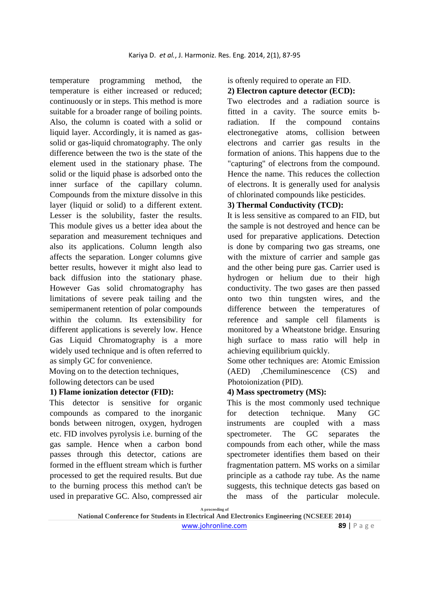temperature programming method, the temperature is either increased or reduced; continuously or in steps. This method is more suitable for a broader range of boiling points. Also, the column is coated with a solid or liquid layer. Accordingly, it is named as gassolid or gas-liquid chromatography. The only difference between the two is the state of the element used in the stationary phase. The solid or the liquid phase is adsorbed onto the inner surface of the capillary column. Compounds from the mixture dissolve in this layer (liquid or solid) to a different extent. Lesser is the solubility, faster the results. This module gives us a better idea about the separation and measurement techniques and also its applications. Column length also affects the separation. Longer columns give better results, however it might also lead to back diffusion into the stationary phase. However Gas solid chromatography has limitations of severe peak tailing and the semipermanent retention of polar compounds within the column. Its extensibility for different applications is severely low. Hence Gas Liquid Chromatography is a more widely used technique and is often referred to as simply GC for convenience.

Moving on to the detection techniques,

following detectors can be used

# **1) Flame ionization detector (FID):**

This detector is sensitive for organic compounds as compared to the inorganic bonds between nitrogen, oxygen, hydrogen etc. FID involves pyrolysis i.e. burning of the gas sample. Hence when a carbon bond passes through this detector, cations are formed in the effluent stream which is further processed to get the required results. But due to the burning process this method can't be used in preparative GC. Also, compressed air

is oftenly required to operate an FID.

# **2) Electron capture detector (ECD):**

Two electrodes and a radiation source is fitted in a cavity. The source emits bradiation. If the compound contains electronegative atoms, collision between electrons and carrier gas results in the formation of anions. This happens due to the "capturing" of electrons from the compound. Hence the name. This reduces the collection of electrons. It is generally used for analysis of chlorinated compounds like pesticides.

# **3) Thermal Conductivity (TCD):**

It is less sensitive as compared to an FID, but the sample is not destroyed and hence can be used for preparative applications. Detection is done by comparing two gas streams, one with the mixture of carrier and sample gas and the other being pure gas. Carrier used is hydrogen or helium due to their high conductivity. The two gases are then passed onto two thin tungsten wires, and the difference between the temperatures of reference and sample cell filaments is monitored by a Wheatstone bridge. Ensuring high surface to mass ratio will help in achieving equilibrium quickly.

Some other techniques are: Atomic Emission (AED) ,Chemiluminescence (CS) and Photoionization (PID).

# **4) Mass spectrometry (MS):**

This is the most commonly used technique for detection technique. Many GC instruments are coupled with a mass spectrometer. The GC separates the compounds from each other, while the mass spectrometer identifies them based on their fragmentation pattern. MS works on a similar principle as a cathode ray tube. As the name suggests, this technique detects gas based on the mass of the particular molecule.

**A proceeding of** 

**National Conference for Students in Electrical And Electronics Engineering (NCSEEE 2014)**  www.johronline.com **89** | P a g e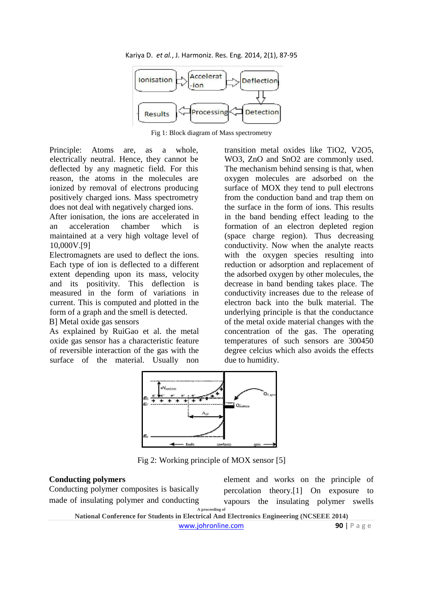Kariya D. *et al.*, J. Harmoniz. Res. Eng. 2014, 2(1), 87-95



Fig 1: Block diagram of Mass spectrometry

Principle: Atoms are, as a whole, electrically neutral. Hence, they cannot be deflected by any magnetic field. For this reason, the atoms in the molecules are ionized by removal of electrons producing positively charged ions. Mass spectrometry does not deal with negatively charged ions.

After ionisation, the ions are accelerated in an acceleration chamber which is maintained at a very high voltage level of 10,000V.[9]

Electromagnets are used to deflect the ions. Each type of ion is deflected to a different extent depending upon its mass, velocity and its positivity. This deflection is measured in the form of variations in current. This is computed and plotted in the form of a graph and the smell is detected. B] Metal oxide gas sensors

As explained by RuiGao et al. the metal oxide gas sensor has a characteristic feature of reversible interaction of the gas with the surface of the material. Usually non

transition metal oxides like TiO2, V2O5, WO3, ZnO and SnO2 are commonly used. The mechanism behind sensing is that, when oxygen molecules are adsorbed on the surface of MOX they tend to pull electrons from the conduction band and trap them on the surface in the form of ions. This results in the band bending effect leading to the formation of an electron depleted region (space charge region). Thus decreasing conductivity. Now when the analyte reacts with the oxygen species resulting into reduction or adsorption and replacement of the adsorbed oxygen by other molecules, the decrease in band bending takes place. The conductivity increases due to the release of electron back into the bulk material. The underlying principle is that the conductance of the metal oxide material changes with the concentration of the gas. The operating temperatures of such sensors are 300450 degree celcius which also avoids the effects due to humidity.



Fig 2: Working principle of MOX sensor [5]

### **Conducting polymers**

**A proceeding of**  Conducting polymer composites is basically made of insulating polymer and conducting

element and works on the principle of percolation theory.[1] On exposure to vapours the insulating polymer swells

**National Conference for Students in Electrical And Electronics Engineering (NCSEEE 2014)**  www.johronline.com **90** | P a g e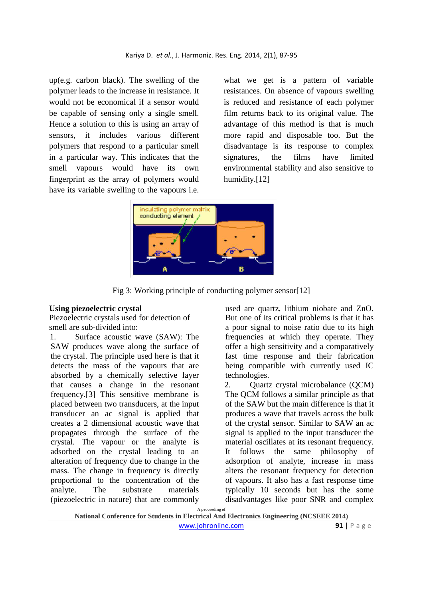up(e.g. carbon black). The swelling of the polymer leads to the increase in resistance. It would not be economical if a sensor would be capable of sensing only a single smell. Hence a solution to this is using an array of sensors, it includes various different polymers that respond to a particular smell in a particular way. This indicates that the smell vapours would have its own fingerprint as the array of polymers would have its variable swelling to the vapours i.e.

what we get is a pattern of variable resistances. On absence of vapours swelling is reduced and resistance of each polymer film returns back to its original value. The advantage of this method is that is much more rapid and disposable too. But the disadvantage is its response to complex signatures, the films have limited environmental stability and also sensitive to humidity.[12]



Fig 3: Working principle of conducting polymer sensor[12]

### **Using piezoelectric crystal**

Piezoelectric crystals used for detection of smell are sub-divided into:

1. Surface acoustic wave (SAW): The SAW produces wave along the surface of the crystal. The principle used here is that it detects the mass of the vapours that are absorbed by a chemically selective layer that causes a change in the resonant frequency.[3] This sensitive membrane is placed between two transducers, at the input transducer an ac signal is applied that creates a 2 dimensional acoustic wave that propagates through the surface of the crystal. The vapour or the analyte is adsorbed on the crystal leading to an alteration of frequency due to change in the mass. The change in frequency is directly proportional to the concentration of the analyte. The substrate materials (piezoelectric in nature) that are commonly

used are quartz, lithium niobate and ZnO. But one of its critical problems is that it has a poor signal to noise ratio due to its high frequencies at which they operate. They offer a high sensitivity and a comparatively fast time response and their fabrication being compatible with currently used IC technologies.

2. Quartz crystal microbalance (QCM) The OCM follows a similar principle as that of the SAW but the main difference is that it produces a wave that travels across the bulk of the crystal sensor. Similar to SAW an ac signal is applied to the input transducer the material oscillates at its resonant frequency. It follows the same philosophy of adsorption of analyte, increase in mass alters the resonant frequency for detection of vapours. It also has a fast response time typically 10 seconds but has the some disadvantages like poor SNR and complex

**A proceeding of** 

**National Conference for Students in Electrical And Electronics Engineering (NCSEEE 2014)**  www.johronline.com **91** | P a g e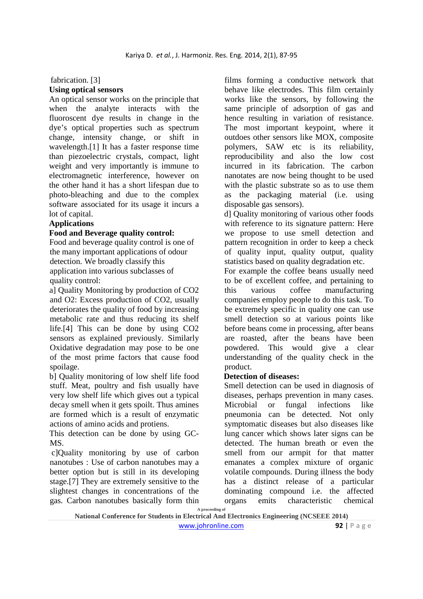# fabrication. [3] **Using optical sensors**

An optical sensor works on the principle that when the analyte interacts with the fluoroscent dye results in change in the dye's optical properties such as spectrum change, intensity change, or shift in wavelength.[1] It has a faster response time than piezoelectric crystals, compact, light weight and very importantly is immune to electromagnetic interference, however on the other hand it has a short lifespan due to photo-bleaching and due to the complex software associated for its usage it incurs a lot of capital.

## **Applications**

### **Food and Beverage quality control:**

Food and beverage quality control is one of the many important applications of odour detection. We broadly classify this application into various subclasses of quality control:

a] Quality Monitoring by production of CO2 and O2: Excess production of CO2, usually deteriorates the quality of food by increasing metabolic rate and thus reducing its shelf life.[4] This can be done by using CO2 sensors as explained previously. Similarly Oxidative degradation may pose to be one of the most prime factors that cause food spoilage.

b] Quality monitoring of low shelf life food stuff. Meat, poultry and fish usually have very low shelf life which gives out a typical decay smell when it gets spoilt. Thus amines are formed which is a result of enzymatic actions of amino acids and protiens.

This detection can be done by using GC-MS.

 c]Quality monitoring by use of carbon nanotubes : Use of carbon nanotubes may a better option but is still in its developing stage.[7] They are extremely sensitive to the slightest changes in concentrations of the gas. Carbon nanotubes basically form thin

films forming a conductive network that behave like electrodes. This film certainly works like the sensors, by following the same principle of adsorption of gas and hence resulting in variation of resistance. The most important keypoint, where it outdoes other sensors like MOX, composite polymers, SAW etc is its reliability, reproducibility and also the low cost incurred in its fabrication. The carbon nanotates are now being thought to be used with the plastic substrate so as to use them as the packaging material (i.e. using disposable gas sensors).

d] Quality monitoring of various other foods with reference to its signature pattern: Here we propose to use smell detection and pattern recognition in order to keep a check of quality input, quality output, quality statistics based on quality degradation etc.

For example the coffee beans usually need to be of excellent coffee, and pertaining to this various coffee manufacturing companies employ people to do this task. To be extremely specific in quality one can use smell detection so at various points like before beans come in processing, after beans are roasted, after the beans have been powdered. This would give a clear understanding of the quality check in the product.

## **Detection of diseases:**

Smell detection can be used in diagnosis of diseases, perhaps prevention in many cases. Microbial or fungal infections like pneumonia can be detected. Not only symptomatic diseases but also diseases like lung cancer which shows later signs can be detected. The human breath or even the smell from our armpit for that matter emanates a complex mixture of organic volatile compounds. During illness the body has a distinct release of a particular dominating compound i.e. the affected organs emits characteristic chemical

**A proceeding of** 

**National Conference for Students in Electrical And Electronics Engineering (NCSEEE 2014)**  www.johronline.com **92** | P a g e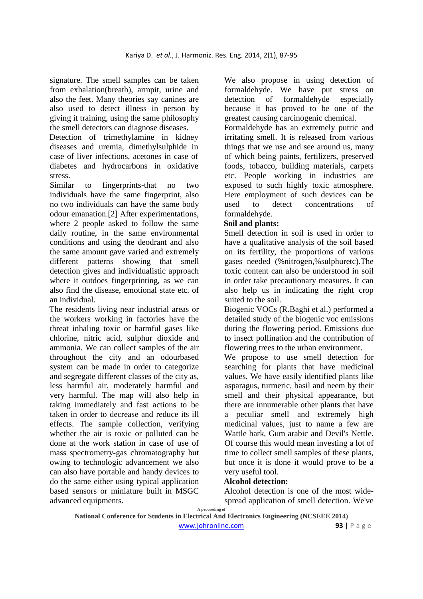signature. The smell samples can be taken from exhalation(breath), armpit, urine and also the feet. Many theories say canines are also used to detect illness in person by giving it training, using the same philosophy the smell detectors can diagnose diseases.

Detection of trimethylamine in kidney diseases and uremia, dimethylsulphide in case of liver infections, acetones in case of diabetes and hydrocarbons in oxidative stress.

Similar to fingerprints-that no two individuals have the same fingerprint, also no two individuals can have the same body odour emanation.[2] After experimentations, where 2 people asked to follow the same daily routine, in the same environmental conditions and using the deodrant and also the same amount gave varied and extremely different patterns showing that smell detection gives and individualistic approach where it outdoes fingerprinting, as we can also find the disease, emotional state etc. of an individual.

The residents living near industrial areas or the workers working in factories have the threat inhaling toxic or harmful gases like chlorine, nitric acid, sulphur dioxide and ammonia. We can collect samples of the air throughout the city and an odourbased system can be made in order to categorize and segregate different classes of the city as, less harmful air, moderately harmful and very harmful. The map will also help in taking immediately and fast actions to be taken in order to decrease and reduce its ill effects. The sample collection, verifying whether the air is toxic or polluted can be done at the work station in case of use of mass spectrometry-gas chromatography but owing to technologic advancement we also can also have portable and handy devices to do the same either using typical application based sensors or miniature built in MSGC advanced equipments.

We also propose in using detection of formaldehyde. We have put stress on detection of formaldehyde especially because it has proved to be one of the greatest causing carcinogenic chemical.

Formaldehyde has an extremely putric and irritating smell. It is released from various things that we use and see around us, many of which being paints, fertilizers, preserved foods, tobacco, building materials, carpets etc. People working in industries are exposed to such highly toxic atmosphere. Here employment of such devices can be used to detect concentrations of formaldehyde.

## **Soil and plants:**

Smell detection in soil is used in order to have a qualitative analysis of the soil based on its fertility, the proportions of various gases needed (%nitrogen,%sulphuretc).The toxic content can also be understood in soil in order take precautionary measures. It can also help us in indicating the right crop suited to the soil.

Biogenic VOCs (R.Baghi et al.) performed a detailed study of the biogenic voc emissions during the flowering period. Emissions due to insect pollination and the contribution of flowering trees to the urban environment.

We propose to use smell detection for searching for plants that have medicinal values. We have easily identified plants like asparagus, turmeric, basil and neem by their smell and their physical appearance, but there are innumerable other plants that have a peculiar smell and extremely high medicinal values, just to name a few are Wattle bark, Gum arabic and Devil's Nettle. Of course this would mean investing a lot of time to collect smell samples of these plants, but once it is done it would prove to be a very useful tool.

#### **Alcohol detection:**

Alcohol detection is one of the most widespread application of smell detection. We've

**National Conference for Students in Electrical And Electronics Engineering (NCSEEE 2014)**  www.johronline.com **93** | P a g e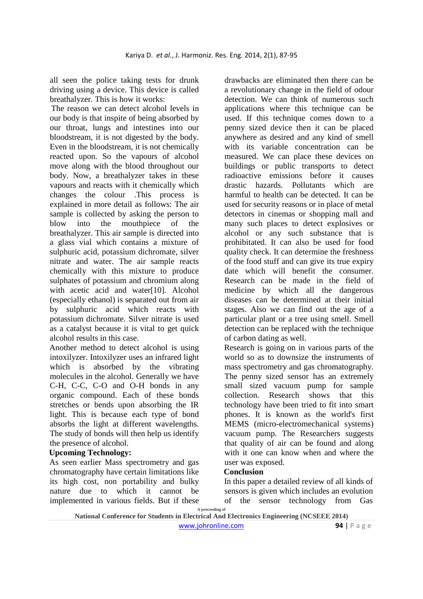all seen the police taking tests for drunk driving using a device. This device is called breathalyzer. This is how it works:

The reason we can detect alcohol levels in our body is that inspite of being absorbed by our throat, lungs and intestines into our bloodstream, it is not digested by the body. Even in the bloodstream, it is not chemically reacted upon. So the vapours of alcohol move along with the blood throughout our body. Now, a breathalyzer takes in these vapours and reacts with it chemically which changes the colour .This process is explained in more detail as follows: The air sample is collected by asking the person to blow into the mouthpiece of the breathalyzer. This air sample is directed into a glass vial which contains a mixture of sulphuric acid, potassium dichromate, silver nitrate and water. The air sample reacts chemically with this mixture to produce sulphates of potassium and chromium along with acetic acid and water[10]. Alcohol (especially ethanol) is separated out from air by sulphuric acid which reacts with potassium dichromate. Silver nitrate is used as a catalyst because it is vital to get quick alcohol results in this case.

Another method to detect alcohol is using intoxilyzer. Intoxilyzer uses an infrared light which is absorbed by the vibrating molecules in the alcohol. Generally we have C-H, C-C, C-O and O-H bonds in any organic compound. Each of these bonds stretches or bends upon absorbing the IR light. This is because each type of bond absorbs the light at different wavelengths. The study of bonds will then help us identify the presence of alcohol.

## **Upcoming Technology:**

As seen earlier Mass spectrometry and gas chromatography have certain limitations like its high cost, non portability and bulky nature due to which it cannot be implemented in various fields. But if these

drawbacks are eliminated then there can be a revolutionary change in the field of odour detection. We can think of numerous such applications where this technique can be used. If this technique comes down to a penny sized device then it can be placed anywhere as desired and any kind of smell with its variable concentration can be measured. We can place these devices on buildings or public transports to detect radioactive emissions before it causes drastic hazards. Pollutants which are harmful to health can be detected. It can be used for security reasons or in place of metal detectors in cinemas or shopping mall and many such places to detect explosives or alcohol or any such substance that is prohibitated. It can also be used for food quality check. It can determine the freshness of the food stuff and can give its true expiry date which will benefit the consumer. Research can be made in the field of medicine by which all the dangerous diseases can be determined at their initial stages. Also we can find out the age of a particular plant or a tree using smell. Smell detection can be replaced with the technique of carbon dating as well.

Research is going on in various parts of the world so as to downsize the instruments of mass spectrometry and gas chromatography. The penny sized sensor has an extremely small sized vacuum pump for sample collection. Research shows that this technology have been tried to fit into smart phones. It is known as the world's first MEMS (micro-electromechanical systems) vacuum pump. The Researchers suggests that quality of air can be found and along with it one can know when and where the user was exposed.

# **Conclusion**

In this paper a detailed review of all kinds of sensors is given which includes an evolution of the sensor technology from Gas

**A proceeding of** 

**National Conference for Students in Electrical And Electronics Engineering (NCSEEE 2014)**  www.johronline.com **94** | P a g e